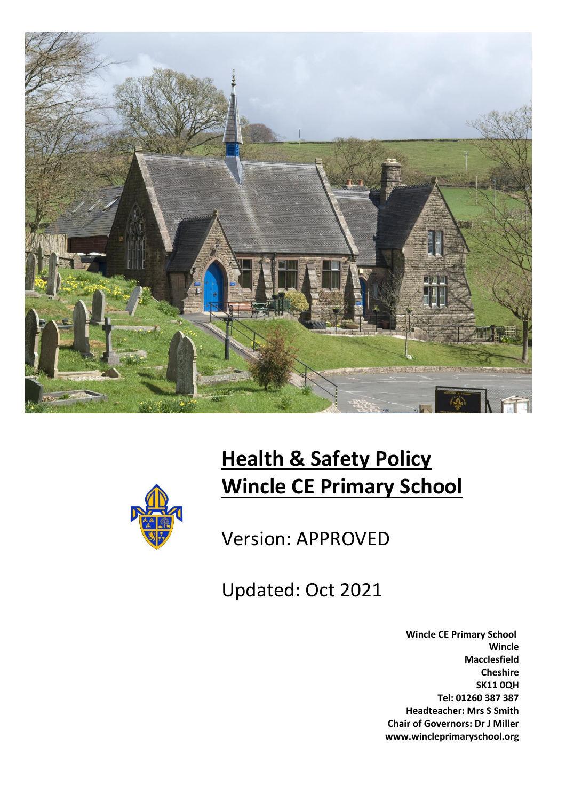



# **Health & Safety Policy Wincle CE Primary School**

Version: APPROVED

Updated: Oct 2021

 **Wincle CE Primary School Wincle Macclesfield Cheshire SK11 0QH Tel: 01260 387 387 Headteacher: Mrs S Smith Chair of Governors: Dr J Miller www.wincleprimaryschool.org**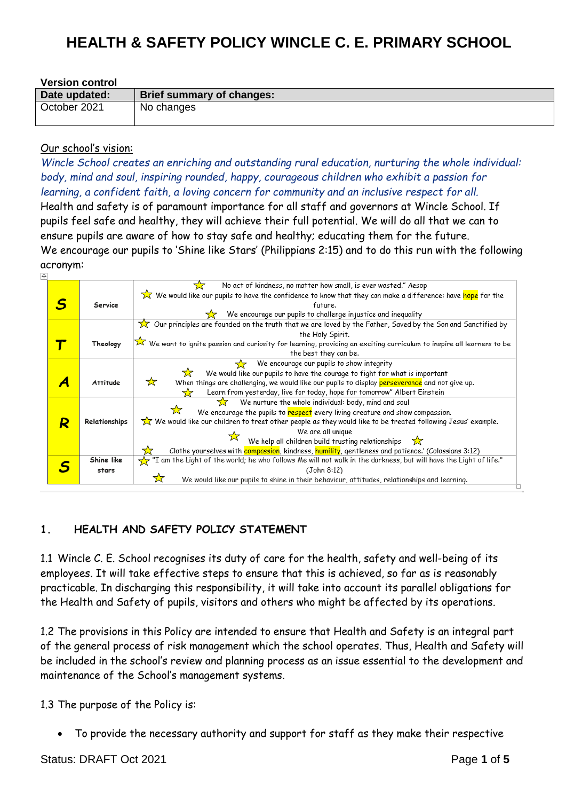| <b>Version control</b> |                           |  |
|------------------------|---------------------------|--|
| Date updated:          | Brief summary of changes: |  |
| October 2021           | No changes                |  |

#### Our school's vision:

*Wincle School creates an enriching and outstanding rural education, nurturing the whole individual: body, mind and soul, inspiring rounded, happy, courageous children who exhibit a passion for learning, a confident faith, a loving concern for community and an inclusive respect for all.*

Health and safety is of paramount importance for all staff and governors at Wincle School. If pupils feel safe and healthy, they will achieve their full potential. We will do all that we can to ensure pupils are aware of how to stay safe and healthy; educating them for the future. We encourage our pupils to 'Shine like Stars' (Philippians 2:15) and to do this run with the following acronym:

|  |               | No act of kindness, no matter how small, is ever wasted." Aesop                                                      |
|--|---------------|----------------------------------------------------------------------------------------------------------------------|
|  |               | We would like our pupils to have the confidence to know that they can make a difference: have hope for the           |
|  | Service       | future.                                                                                                              |
|  |               | We encourage our pupils to challenge injustice and inequality                                                        |
|  |               | Our principles are founded on the truth that we are loved by the Father, Saved by the Son and Sanctified by          |
|  |               | the Holy Spirit.                                                                                                     |
|  | Theology      | We want to ignite passion and curiosity for learning, providing an exciting curriculum to inspire all learners to be |
|  |               | the best they can be.                                                                                                |
|  |               | We encourage our pupils to show integrity                                                                            |
|  |               | We would like our pupils to have the courage to fight for what is important<br>☆                                     |
|  | Attitude      | ☆<br>When things are challenging, we would like our pupils to display perseverance and not give up.                  |
|  |               | Learn from yesterday, live for today, hope for tomorrow" Albert Einstein                                             |
|  |               | We nurture the whole individual: body, mind and soul                                                                 |
|  |               | We encourage the pupils to respect every living creature and show compassion.                                        |
|  | Relationships | We would like our children to treat other people as they would like to be treated following Jesus' example.          |
|  |               | We are all unique                                                                                                    |
|  |               | We help all children build trusting relationships $\sum$                                                             |
|  |               | Clothe yourselves with compassion, kindness, humility, gentleness and patience.' (Colossians 3:12)                   |
|  | Shine like    | "I am the Light of the world; he who follows Me will not walk in the darkness, but will have the Light of life."     |
|  | stars         | (John 8:12)                                                                                                          |
|  |               | We would like our pupils to shine in their behaviour, attitudes, relationships and learning.                         |
|  |               |                                                                                                                      |

### **1. HEALTH AND SAFETY POLICY STATEMENT**

1.1 Wincle C. E. School recognises its duty of care for the health, safety and well-being of its employees. It will take effective steps to ensure that this is achieved, so far as is reasonably practicable. In discharging this responsibility, it will take into account its parallel obligations for the Health and Safety of pupils, visitors and others who might be affected by its operations.

1.2 The provisions in this Policy are intended to ensure that Health and Safety is an integral part of the general process of risk management which the school operates. Thus, Health and Safety will be included in the school's review and planning process as an issue essential to the development and maintenance of the School's management systems.

1.3 The purpose of the Policy is:

• To provide the necessary authority and support for staff as they make their respective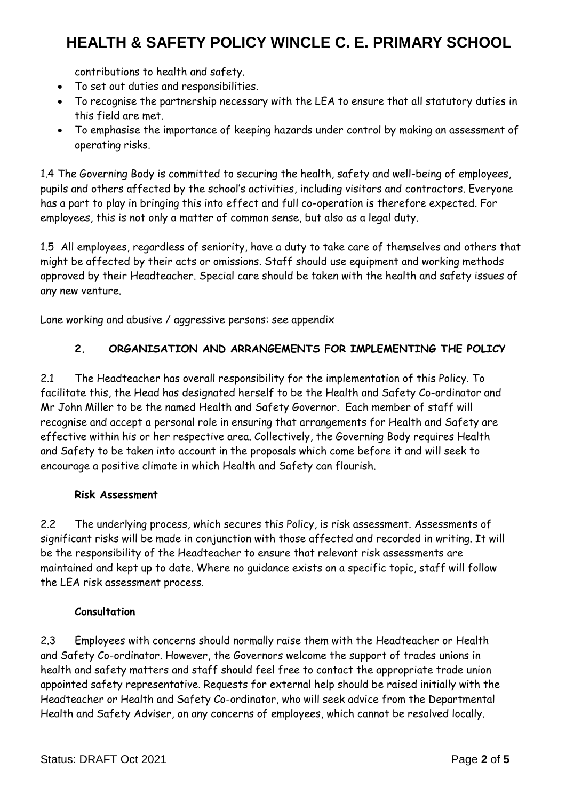contributions to health and safety.

- To set out duties and responsibilities.
- To recognise the partnership necessary with the LEA to ensure that all statutory duties in this field are met.
- To emphasise the importance of keeping hazards under control by making an assessment of operating risks.

1.4 The Governing Body is committed to securing the health, safety and well-being of employees, pupils and others affected by the school's activities, including visitors and contractors. Everyone has a part to play in bringing this into effect and full co-operation is therefore expected. For employees, this is not only a matter of common sense, but also as a legal duty.

1.5 All employees, regardless of seniority, have a duty to take care of themselves and others that might be affected by their acts or omissions. Staff should use equipment and working methods approved by their Headteacher. Special care should be taken with the health and safety issues of any new venture.

Lone working and abusive / aggressive persons: see appendix

## **2. ORGANISATION AND ARRANGEMENTS FOR IMPLEMENTING THE POLICY**

2.1 The Headteacher has overall responsibility for the implementation of this Policy. To facilitate this, the Head has designated herself to be the Health and Safety Co-ordinator and Mr John Miller to be the named Health and Safety Governor. Each member of staff will recognise and accept a personal role in ensuring that arrangements for Health and Safety are effective within his or her respective area. Collectively, the Governing Body requires Health and Safety to be taken into account in the proposals which come before it and will seek to encourage a positive climate in which Health and Safety can flourish.

### **Risk Assessment**

2.2 The underlying process, which secures this Policy, is risk assessment. Assessments of significant risks will be made in conjunction with those affected and recorded in writing. It will be the responsibility of the Headteacher to ensure that relevant risk assessments are maintained and kept up to date. Where no guidance exists on a specific topic, staff will follow the LEA risk assessment process.

### **Consultation**

2.3 Employees with concerns should normally raise them with the Headteacher or Health and Safety Co-ordinator. However, the Governors welcome the support of trades unions in health and safety matters and staff should feel free to contact the appropriate trade union appointed safety representative. Requests for external help should be raised initially with the Headteacher or Health and Safety Co-ordinator, who will seek advice from the Departmental Health and Safety Adviser, on any concerns of employees, which cannot be resolved locally.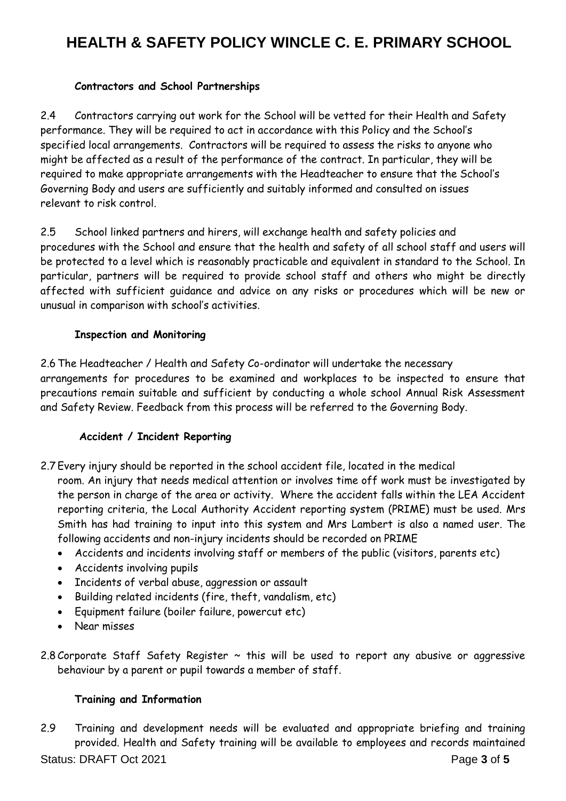### **Contractors and School Partnerships**

2.4 Contractors carrying out work for the School will be vetted for their Health and Safety performance. They will be required to act in accordance with this Policy and the School's specified local arrangements. Contractors will be required to assess the risks to anyone who might be affected as a result of the performance of the contract. In particular, they will be required to make appropriate arrangements with the Headteacher to ensure that the School's Governing Body and users are sufficiently and suitably informed and consulted on issues relevant to risk control.

2.5 School linked partners and hirers, will exchange health and safety policies and procedures with the School and ensure that the health and safety of all school staff and users will be protected to a level which is reasonably practicable and equivalent in standard to the School. In particular, partners will be required to provide school staff and others who might be directly affected with sufficient guidance and advice on any risks or procedures which will be new or unusual in comparison with school's activities.

### **Inspection and Monitoring**

2.6 The Headteacher / Health and Safety Co-ordinator will undertake the necessary arrangements for procedures to be examined and workplaces to be inspected to ensure that precautions remain suitable and sufficient by conducting a whole school Annual Risk Assessment and Safety Review. Feedback from this process will be referred to the Governing Body.

### **Accident / Incident Reporting**

- 2.7 Every injury should be reported in the school accident file, located in the medical room. An injury that needs medical attention or involves time off work must be investigated by the person in charge of the area or activity. Where the accident falls within the LEA Accident reporting criteria, the Local Authority Accident reporting system (PRIME) must be used. Mrs Smith has had training to input into this system and Mrs Lambert is also a named user. The following accidents and non-injury incidents should be recorded on PRIME
	- Accidents and incidents involving staff or members of the public (visitors, parents etc)
	- Accidents involving pupils
	- Incidents of verbal abuse, aggression or assault
	- Building related incidents (fire, theft, vandalism, etc)
	- Equipment failure (boiler failure, powercut etc)
	- Near misses
- 2.8 Corporate Staff Safety Register  $\sim$  this will be used to report any abusive or aggressive behaviour by a parent or pupil towards a member of staff.

## **Training and Information**

Status: DRAFT Oct 2021 **Page 3** of 5 2.9 Training and development needs will be evaluated and appropriate briefing and training provided. Health and Safety training will be available to employees and records maintained